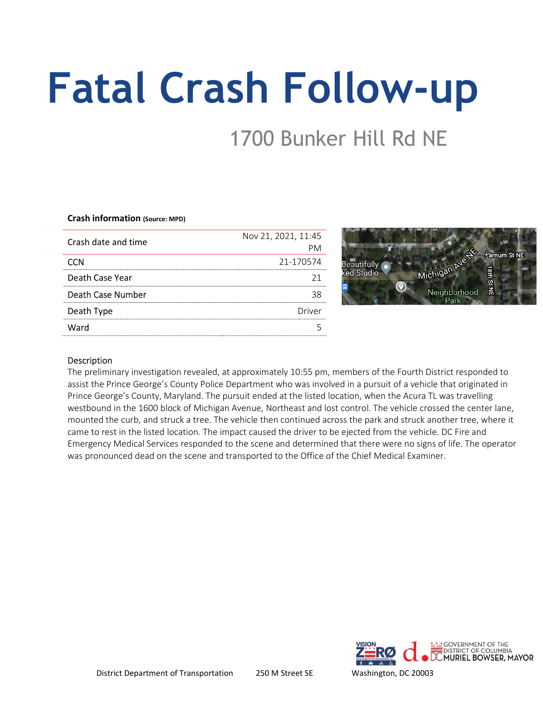# Fatal Crash Follow-up

## 1700 Bunker Hill Rd NE

#### Crash information (Source: MPD)

| Crash date and time | Nov 21, 2021, 11:45 |
|---------------------|---------------------|
|                     |                     |
|                     | 21-170574           |
| Death Case Year     |                     |
| Death Case Number   |                     |
| Death Type          | Driver              |
| Ward                |                     |
|                     |                     |

Google maps screenshot of crash location

## Description

The preliminary investigation revealed, at approximately 10:55 pm, members of the Fourth District responded to assist the Prince George's County Police Department who was involved in a pursuit of a vehicle that originated in Prince George's County, Maryland. The pursuit ended at the listed location, when the Acura TL was travelling westbound in the 1600 block of Michigan Avenue, Northeast and lost control. The vehicle crossed the center lane, mounted the curb, and struck a tree. The vehicle then continued across the park and struck another tree, where it came to rest in the listed location. The impact caused the driver to be ejected from the vehicle. DC Fire and Emergency Medical Services responded to the scene and determined that there were no signs of life. The operator was pronounced dead on the scene and transported to the Office of the Chief Medical Examiner.